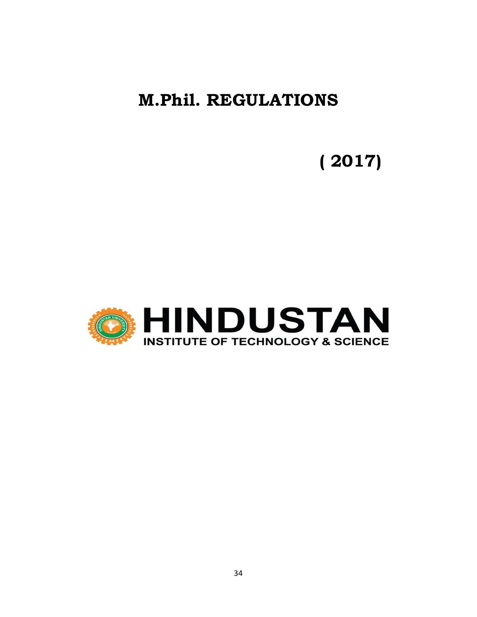## **M.Phil. REGULATIONS**

# **( 2017)**

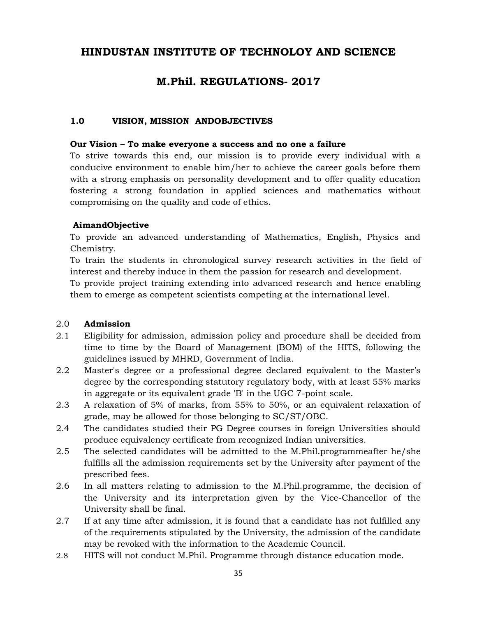## **HINDUSTAN INSTITUTE OF TECHNOLOY AND SCIENCE**

## **M.Phil. REGULATIONS- 2017**

#### **1.0 VISION, MISSION ANDOBJECTIVES**

#### **Our Vision – To make everyone a success and no one a failure**

To strive towards this end, our mission is to provide every individual with a conducive environment to enable him/her to achieve the career goals before them with a strong emphasis on personality development and to offer quality education fostering a strong foundation in applied sciences and mathematics without compromising on the quality and code of ethics.

#### **AimandObjective**

To provide an advanced understanding of Mathematics, English, Physics and Chemistry.

To train the students in chronological survey research activities in the field of interest and thereby induce in them the passion for research and development.

To provide project training extending into advanced research and hence enabling them to emerge as competent scientists competing at the international level.

#### 2.0 **Admission**

- 2.1 Eligibility for admission, admission policy and procedure shall be decided from time to time by the Board of Management (BOM) of the HITS, following the guidelines issued by MHRD, Government of India.
- 2.2 Master's degree or a professional degree declared equivalent to the Master's degree by the corresponding statutory regulatory body, with at least 55% marks in aggregate or its equivalent grade 'B' in the UGC 7-point scale.
- 2.3 A relaxation of 5% of marks, from 55% to 50%, or an equivalent relaxation of grade, may be allowed for those belonging to SC/ST/OBC.
- 2.4 The candidates studied their PG Degree courses in foreign Universities should produce equivalency certificate from recognized Indian universities.
- 2.5 The selected candidates will be admitted to the M.Phil.programmeafter he/she fulfills all the admission requirements set by the University after payment of the prescribed fees.
- 2.6 In all matters relating to admission to the M.Phil.programme, the decision of the University and its interpretation given by the Vice-Chancellor of the University shall be final.
- 2.7 If at any time after admission, it is found that a candidate has not fulfilled any of the requirements stipulated by the University, the admission of the candidate may be revoked with the information to the Academic Council.
- 2.8 HITS will not conduct M.Phil. Programme through distance education mode.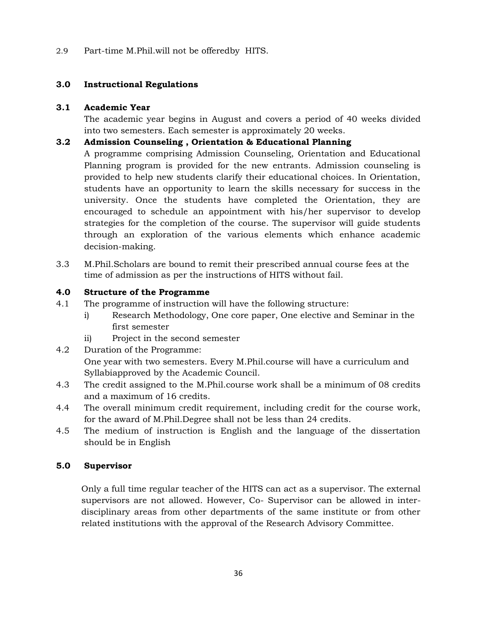2.9 Part-time M.Phil.will not be offeredby HITS.

#### **3.0 Instructional Regulations**

#### **3.1 Academic Year**

The academic year begins in August and covers a period of 40 weeks divided into two semesters. Each semester is approximately 20 weeks.

#### **3.2 Admission Counseling , Orientation & Educational Planning**

A programme comprising Admission Counseling, Orientation and Educational Planning program is provided for the new entrants. Admission counseling is provided to help new students clarify their educational choices. In Orientation, students have an opportunity to learn the skills necessary for success in the university. Once the students have completed the Orientation, they are encouraged to schedule an appointment with his/her supervisor to develop strategies for the completion of the course. The supervisor will guide students through an exploration of the various elements which enhance academic decision-making.

3.3 M.Phil.Scholars are bound to remit their prescribed annual course fees at the time of admission as per the instructions of HITS without fail.

#### **4.0 Structure of the Programme**

- 4.1 The programme of instruction will have the following structure:
	- i) Research Methodology, One core paper, One elective and Seminar in the first semester
	- ii) Project in the second semester
- 4.2 Duration of the Programme:

One year with two semesters. Every M.Phil.course will have a curriculum and Syllabiapproved by the Academic Council.

- 4.3 The credit assigned to the M.Phil.course work shall be a minimum of 08 credits and a maximum of 16 credits.
- 4.4 The overall minimum credit requirement, including credit for the course work, for the award of M.Phil.Degree shall not be less than 24 credits.
- 4.5 The medium of instruction is English and the language of the dissertation should be in English

#### **5.0 Supervisor**

Only a full time regular teacher of the HITS can act as a supervisor. The external supervisors are not allowed. However, Co- Supervisor can be allowed in interdisciplinary areas from other departments of the same institute or from other related institutions with the approval of the Research Advisory Committee.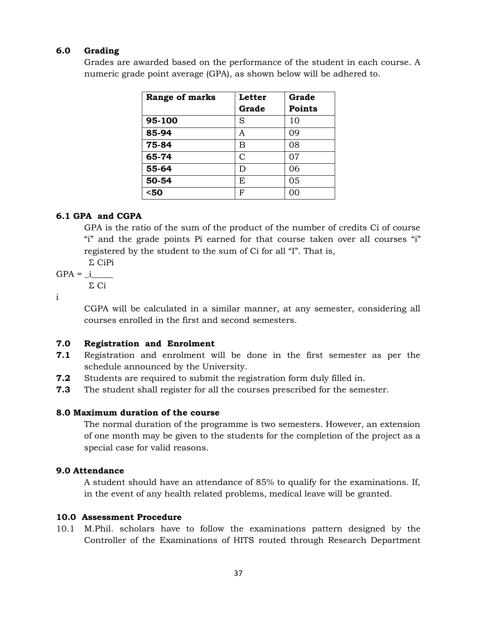#### **6.0 Grading**

Grades are awarded based on the performance of the student in each course. A numeric grade point average (GPA), as shown below will be adhered to.

| Range of marks | Letter | Grade         |
|----------------|--------|---------------|
|                | Grade  | <b>Points</b> |
| 95-100         | S      | 10            |
| 85-94          | A      | 09            |
| 75-84          | В      | 08            |
| 65-74          | C      | 07            |
| 55-64          | D      | 06            |
| 50-54          | E      | 05            |
| $50$           | F      | 00            |

#### **6.1 GPA and CGPA**

GPA is the ratio of the sum of the product of the number of credits Ci of course "i" and the grade points Pi earned for that course taken over all courses "i" registered by the student to the sum of Ci for all "I". That is,

Σ CiPi

 $GPA = i$ 

Σ Ci

i

CGPA will be calculated in a similar manner, at any semester, considering all courses enrolled in the first and second semesters.

#### **7.0 Registration and Enrolment**

- **7.1** Registration and enrolment will be done in the first semester as per the schedule announced by the University.
- **7.2** Students are required to submit the registration form duly filled in.
- **7.3** The student shall register for all the courses prescribed for the semester.

#### **8.0 Maximum duration of the course**

The normal duration of the programme is two semesters. However, an extension of one month may be given to the students for the completion of the project as a special case for valid reasons.

#### **9.0 Attendance**

A student should have an attendance of 85% to qualify for the examinations. If, in the event of any health related problems, medical leave will be granted.

#### **10.0 Assessment Procedure**

10.1 M.Phil. scholars have to follow the examinations pattern designed by the Controller of the Examinations of HITS routed through Research Department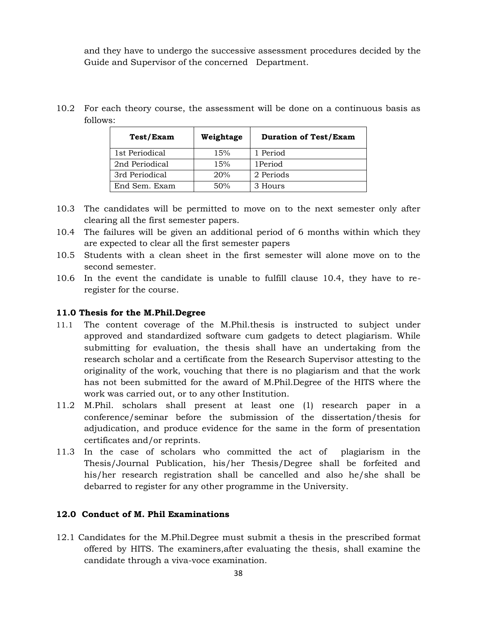and they have to undergo the successive assessment procedures decided by the Guide and Supervisor of the concerned Department.

10.2 For each theory course, the assessment will be done on a continuous basis as follows:

| Test/Exam      | Weightage | <b>Duration of Test/Exam</b> |
|----------------|-----------|------------------------------|
| 1st Periodical | 15%       | 1 Period                     |
| 2nd Periodical | 15%       | 1Period                      |
| 3rd Periodical | 20%       | 2 Periods                    |
| End Sem. Exam  | 50%       | 3 Hours                      |

- 10.3 The candidates will be permitted to move on to the next semester only after clearing all the first semester papers.
- 10.4 The failures will be given an additional period of 6 months within which they are expected to clear all the first semester papers
- 10.5 Students with a clean sheet in the first semester will alone move on to the second semester.
- 10.6 In the event the candidate is unable to fulfill clause 10.4, they have to reregister for the course.

#### **11.0 Thesis for the M.Phil.Degree**

- 11.1 The content coverage of the M.Phil.thesis is instructed to subject under approved and standardized software cum gadgets to detect plagiarism. While submitting for evaluation, the thesis shall have an undertaking from the research scholar and a certificate from the Research Supervisor attesting to the originality of the work, vouching that there is no plagiarism and that the work has not been submitted for the award of M.Phil.Degree of the HITS where the work was carried out, or to any other Institution.
- 11.2 M.Phil. scholars shall present at least one (1) research paper in a conference/seminar before the submission of the dissertation/thesis for adjudication, and produce evidence for the same in the form of presentation certificates and/or reprints.
- 11.3 In the case of scholars who committed the act of plagiarism in the Thesis/Journal Publication, his/her Thesis/Degree shall be forfeited and his/her research registration shall be cancelled and also he/she shall be debarred to register for any other programme in the University.

#### **12.0 Conduct of M. Phil Examinations**

12.1 Candidates for the M.Phil.Degree must submit a thesis in the prescribed format offered by HITS. The examiners,after evaluating the thesis, shall examine the candidate through a viva-voce examination.